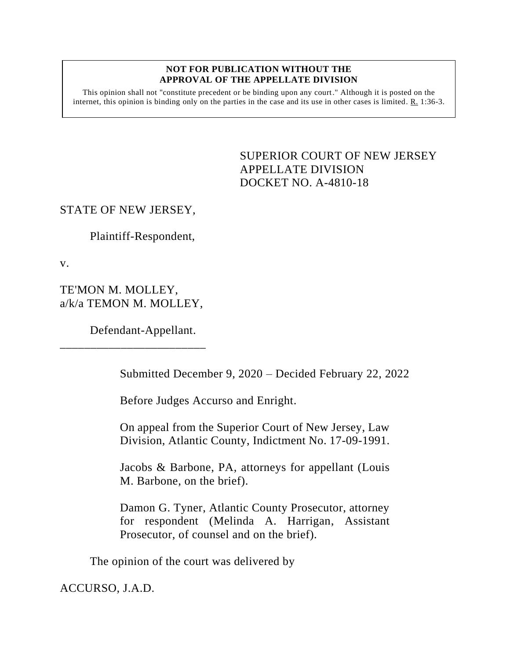#### **NOT FOR PUBLICATION WITHOUT THE APPROVAL OF THE APPELLATE DIVISION**

This opinion shall not "constitute precedent or be binding upon any court." Although it is posted on the internet, this opinion is binding only on the parties in the case and its use in other cases is limited. R. 1:36-3.

> <span id="page-0-0"></span>SUPERIOR COURT OF NEW JERSEY APPELLATE DIVISION DOCKET NO. A-4810-18

### STATE OF NEW JERSEY,

Plaintiff-Respondent,

v.

TE'MON M. MOLLEY, a/k/a TEMON M. MOLLEY,

\_\_\_\_\_\_\_\_\_\_\_\_\_\_\_\_\_\_\_\_\_\_\_\_

Defendant-Appellant.

Submitted December 9, 2020 – Decided February 22, 2022

Before Judges Accurso and Enright.

On appeal from the Superior Court of New Jersey, Law Division, Atlantic County, Indictment No. 17-09-1991.

Jacobs & Barbone, PA, attorneys for appellant (Louis M. Barbone, on the brief).

Damon G. Tyner, Atlantic County Prosecutor, attorney for respondent (Melinda A. Harrigan, Assistant Prosecutor, of counsel and on the brief).

The opinion of the court was delivered by

ACCURSO, J.A.D.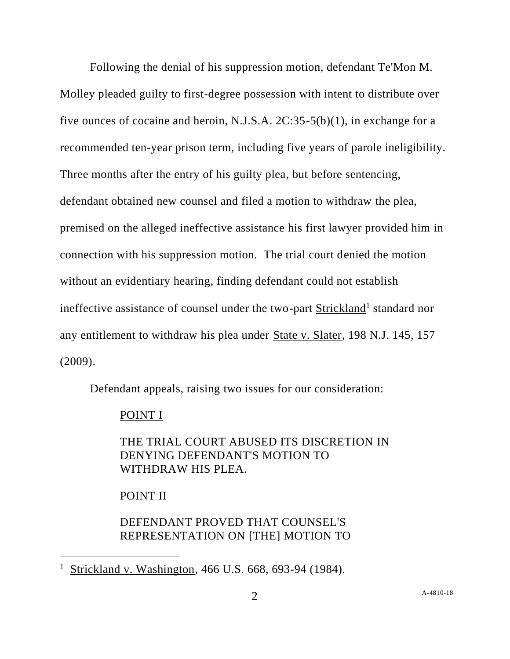Following the denial of his suppression motion, defendant Te'Mon M. Molley pleaded guilty to first-degree possession with intent to distribute over five ounces of cocaine and heroin, N.J.S.A. 2C:35-5(b)(1), in exchange for a recommended ten-year prison term, including five years of parole ineligibility. Three months after the entry of his guilty plea, but before sentencing, defendant obtained new counsel and filed a motion to withdraw the plea, premised on the alleged ineffective assistance his first lawyer provided him in connection with his suppression motion. The trial court denied the motion without an evidentiary hearing, finding defendant could not establish ineffective assistance of counsel under the two-part **Strickland**<sup>1</sup> standard nor any entitlement to withdraw his plea under State v. Slater, 198 N.J. 145, 157 (2009).

Defendant appeals, raising two issues for our consideration:

### POINT I

THE TRIAL COURT ABUSED ITS DISCRETION IN DENYING DEFENDANT'S MOTION TO WITHDRAW HIS PLEA.

## POINT II

# DEFENDANT PROVED THAT COUNSEL'S REPRESENTATION ON [THE] MOTION TO

<sup>1</sup> Strickland v. Washington, 466 U.S. 668, 693-94 (1984).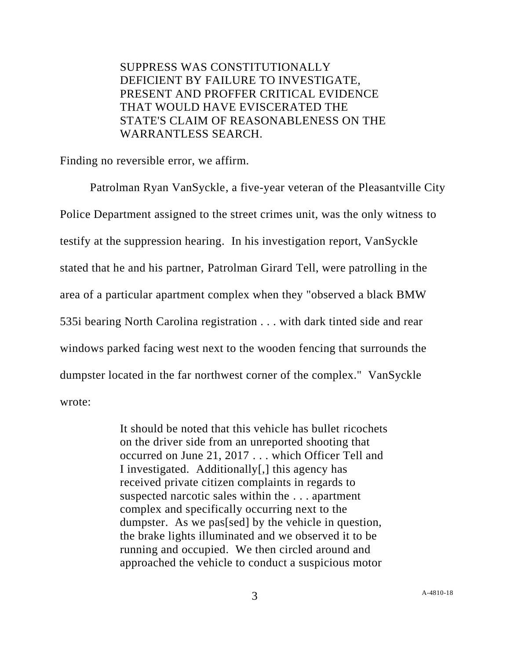SUPPRESS WAS CONSTITUTIONALLY DEFICIENT BY FAILURE TO INVESTIGATE, PRESENT AND PROFFER CRITICAL EVIDENCE THAT WOULD HAVE EVISCERATED THE STATE'S CLAIM OF REASONABLENESS ON THE WARRANTLESS SEARCH.

Finding no reversible error, we affirm.

Patrolman Ryan VanSyckle, a five-year veteran of the Pleasantville City Police Department assigned to the street crimes unit, was the only witness to testify at the suppression hearing. In his investigation report, VanSyckle stated that he and his partner, Patrolman Girard Tell, were patrolling in the area of a particular apartment complex when they "observed a black BMW 535i bearing North Carolina registration . . . with dark tinted side and rear windows parked facing west next to the wooden fencing that surrounds the dumpster located in the far northwest corner of the complex." VanSyckle wrote:

> It should be noted that this vehicle has bullet ricochets on the driver side from an unreported shooting that occurred on June 21, 2017 . . . which Officer Tell and I investigated. Additionally[,] this agency has received private citizen complaints in regards to suspected narcotic sales within the . . . apartment complex and specifically occurring next to the dumpster. As we pas[sed] by the vehicle in question, the brake lights illuminated and we observed it to be running and occupied. We then circled around and approached the vehicle to conduct a suspicious motor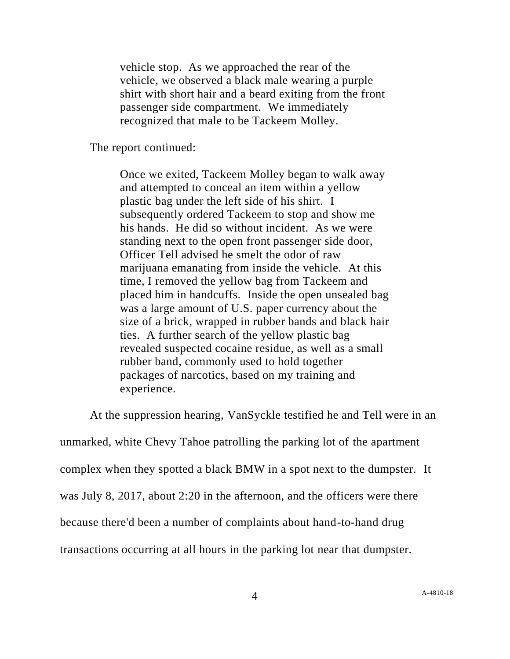vehicle stop. As we approached the rear of the vehicle, we observed a black male wearing a purple shirt with short hair and a beard exiting from the front passenger side compartment. We immediately recognized that male to be Tackeem Molley.

The report continued:

Once we exited, Tackeem Molley began to walk away and attempted to conceal an item within a yellow plastic bag under the left side of his shirt. I subsequently ordered Tackeem to stop and show me his hands. He did so without incident. As we were standing next to the open front passenger side door, Officer Tell advised he smelt the odor of raw marijuana emanating from inside the vehicle. At this time, I removed the yellow bag from Tackeem and placed him in handcuffs. Inside the open unsealed bag was a large amount of U.S. paper currency about the size of a brick, wrapped in rubber bands and black hair ties. A further search of the yellow plastic bag revealed suspected cocaine residue, as well as a small rubber band, commonly used to hold together packages of narcotics, based on my training and experience.

At the suppression hearing, VanSyckle testified he and Tell were in an unmarked, white Chevy Tahoe patrolling the parking lot of the apartment complex when they spotted a black BMW in a spot next to the dumpster. It was July 8, 2017, about 2:20 in the afternoon, and the officers were there because there'd been a number of complaints about hand-to-hand drug transactions occurring at all hours in the parking lot near that dumpster.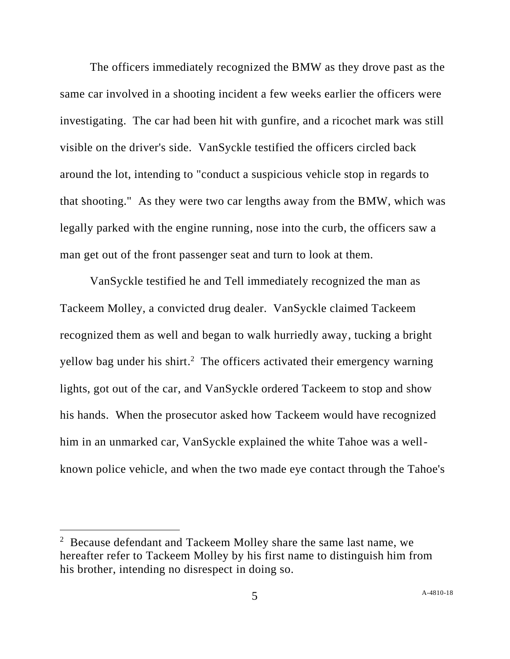The officers immediately recognized the BMW as they drove past as the same car involved in a shooting incident a few weeks earlier the officers were investigating. The car had been hit with gunfire, and a ricochet mark was still visible on the driver's side. VanSyckle testified the officers circled back around the lot, intending to "conduct a suspicious vehicle stop in regards to that shooting." As they were two car lengths away from the BMW, which was legally parked with the engine running, nose into the curb, the officers saw a man get out of the front passenger seat and turn to look at them.

VanSyckle testified he and Tell immediately recognized the man as Tackeem Molley, a convicted drug dealer. VanSyckle claimed Tackeem recognized them as well and began to walk hurriedly away, tucking a bright yellow bag under his shirt.<sup>2</sup> The officers activated their emergency warning lights, got out of the car, and VanSyckle ordered Tackeem to stop and show his hands. When the prosecutor asked how Tackeem would have recognized him in an unmarked car, VanSyckle explained the white Tahoe was a wellknown police vehicle, and when the two made eye contact through the Tahoe's

 $2$  Because defendant and Tackeem Molley share the same last name, we hereafter refer to Tackeem Molley by his first name to distinguish him from his brother, intending no disrespect in doing so.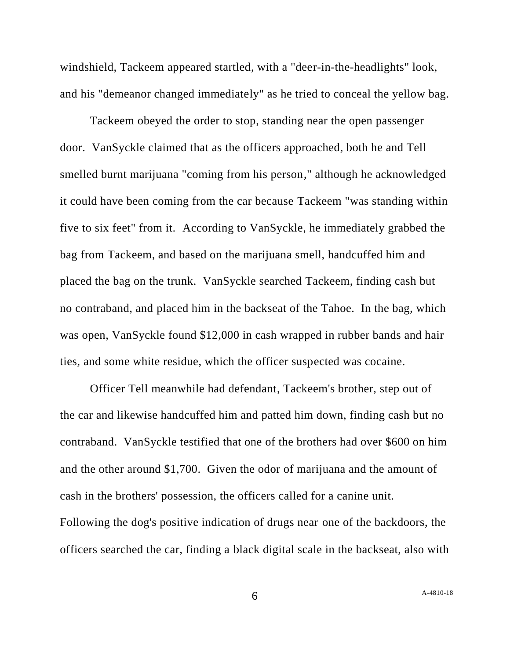windshield, Tackeem appeared startled, with a "deer-in-the-headlights" look, and his "demeanor changed immediately" as he tried to conceal the yellow bag.

Tackeem obeyed the order to stop, standing near the open passenger door. VanSyckle claimed that as the officers approached, both he and Tell smelled burnt marijuana "coming from his person," although he acknowledged it could have been coming from the car because Tackeem "was standing within five to six feet" from it. According to VanSyckle, he immediately grabbed the bag from Tackeem, and based on the marijuana smell, handcuffed him and placed the bag on the trunk. VanSyckle searched Tackeem, finding cash but no contraband, and placed him in the backseat of the Tahoe. In the bag, which was open, VanSyckle found \$12,000 in cash wrapped in rubber bands and hair ties, and some white residue, which the officer suspected was cocaine.

Officer Tell meanwhile had defendant, Tackeem's brother, step out of the car and likewise handcuffed him and patted him down, finding cash but no contraband. VanSyckle testified that one of the brothers had over \$600 on him and the other around \$1,700. Given the odor of marijuana and the amount of cash in the brothers' possession, the officers called for a canine unit. Following the dog's positive indication of drugs near one of the backdoors, the officers searched the car, finding a black digital scale in the backseat, also with

6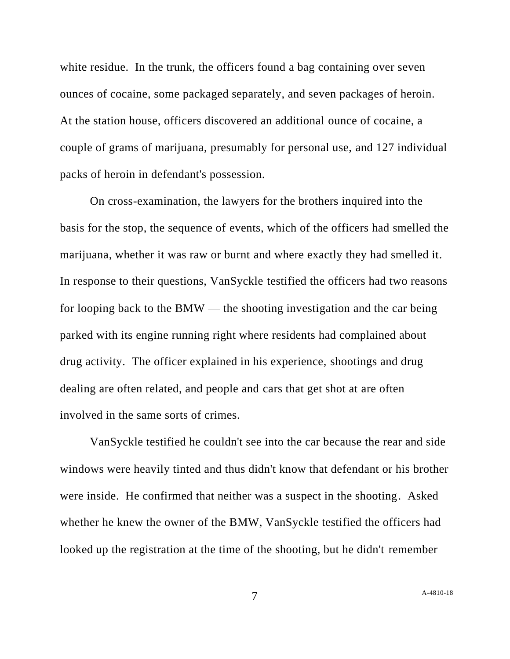white residue. In the trunk, the officers found a bag containing over seven ounces of cocaine, some packaged separately, and seven packages of heroin. At the station house, officers discovered an additional ounce of cocaine, a couple of grams of marijuana, presumably for personal use, and 127 individual packs of heroin in defendant's possession.

On cross-examination, the lawyers for the brothers inquired into the basis for the stop, the sequence of events, which of the officers had smelled the marijuana, whether it was raw or burnt and where exactly they had smelled it. In response to their questions, VanSyckle testified the officers had two reasons for looping back to the BMW — the shooting investigation and the car being parked with its engine running right where residents had complained about drug activity. The officer explained in his experience, shootings and drug dealing are often related, and people and cars that get shot at are often involved in the same sorts of crimes.

VanSyckle testified he couldn't see into the car because the rear and side windows were heavily tinted and thus didn't know that defendant or his brother were inside. He confirmed that neither was a suspect in the shooting. Asked whether he knew the owner of the BMW, VanSyckle testified the officers had looked up the registration at the time of the shooting, but he didn't remember

7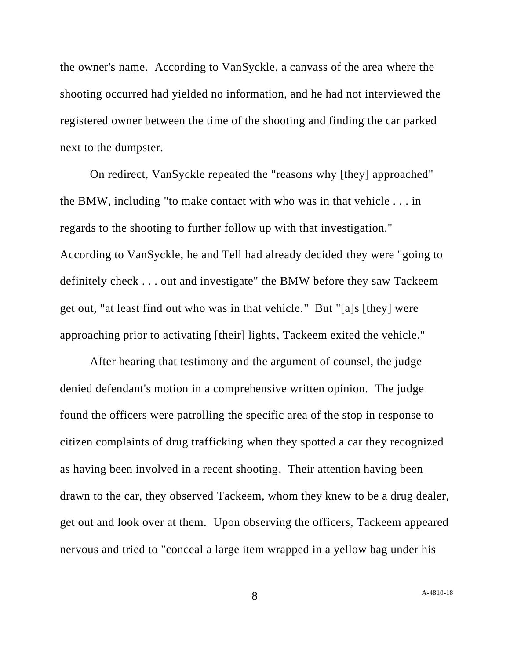the owner's name. According to VanSyckle, a canvass of the area where the shooting occurred had yielded no information, and he had not interviewed the registered owner between the time of the shooting and finding the car parked next to the dumpster.

On redirect, VanSyckle repeated the "reasons why [they] approached" the BMW, including "to make contact with who was in that vehicle . . . in regards to the shooting to further follow up with that investigation." According to VanSyckle, he and Tell had already decided they were "going to definitely check . . . out and investigate" the BMW before they saw Tackeem get out, "at least find out who was in that vehicle." But "[a]s [they] were approaching prior to activating [their] lights, Tackeem exited the vehicle."

After hearing that testimony and the argument of counsel, the judge denied defendant's motion in a comprehensive written opinion. The judge found the officers were patrolling the specific area of the stop in response to citizen complaints of drug trafficking when they spotted a car they recognized as having been involved in a recent shooting. Their attention having been drawn to the car, they observed Tackeem, whom they knew to be a drug dealer, get out and look over at them. Upon observing the officers, Tackeem appeared nervous and tried to "conceal a large item wrapped in a yellow bag under his

8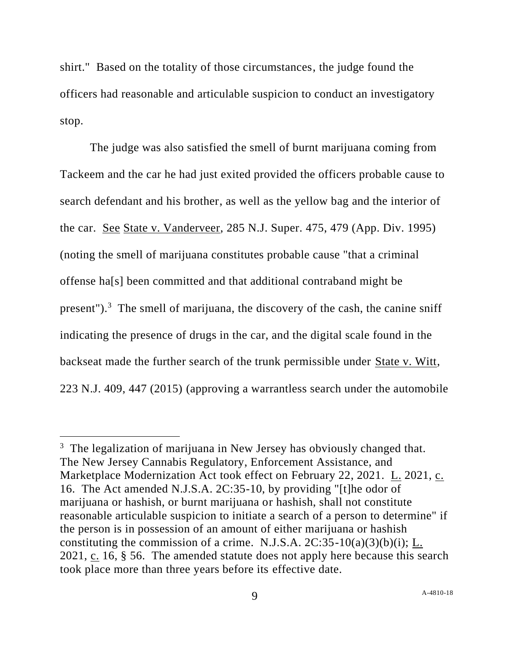shirt." Based on the totality of those circumstances, the judge found the officers had reasonable and articulable suspicion to conduct an investigatory stop.

The judge was also satisfied the smell of burnt marijuana coming from Tackeem and the car he had just exited provided the officers probable cause to search defendant and his brother, as well as the yellow bag and the interior of the car. See State v. Vanderveer, 285 N.J. Super. 475, 479 (App. Div. 1995) (noting the smell of marijuana constitutes probable cause "that a criminal offense ha[s] been committed and that additional contraband might be present").<sup>3</sup> The smell of marijuana, the discovery of the cash, the canine sniff indicating the presence of drugs in the car, and the digital scale found in the backseat made the further search of the trunk permissible under State v. Witt, 223 N.J. 409, 447 (2015) (approving a warrantless search under the automobile

 $3$  The legalization of marijuana in New Jersey has obviously changed that. The New Jersey Cannabis Regulatory, Enforcement Assistance, and Marketplace Modernization Act took effect on February 22, 2021. L. 2021, c. 16. The Act amended N.J.S.A. 2C:35-10, by providing "[t]he odor of marijuana or hashish, or burnt marijuana or hashish, shall not constitute reasonable articulable suspicion to initiate a search of a person to determine" if the person is in possession of an amount of either marijuana or hashish constituting the commission of a crime. N.J.S.A.  $2C:35-10(a)(3)(b)(i)$ ; L. 2021, c. 16, § 56. The amended statute does not apply here because this search took place more than three years before its effective date.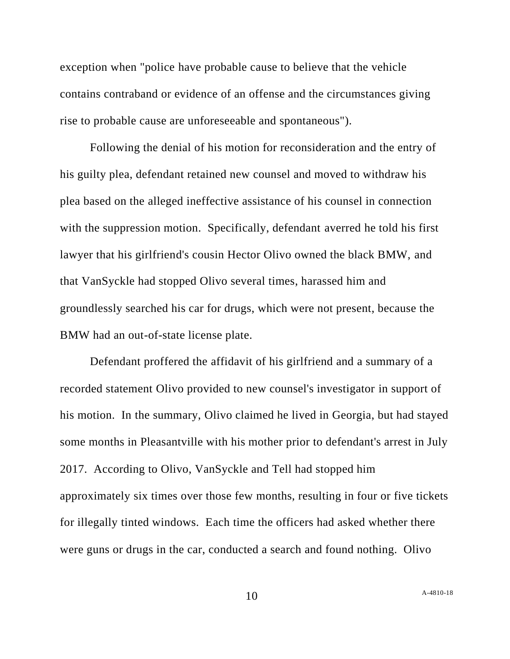exception when "police have probable cause to believe that the vehicle contains contraband or evidence of an offense and the circumstances giving rise to probable cause are unforeseeable and spontaneous").

Following the denial of his motion for reconsideration and the entry of his guilty plea, defendant retained new counsel and moved to withdraw his plea based on the alleged ineffective assistance of his counsel in connection with the suppression motion. Specifically, defendant averred he told his first lawyer that his girlfriend's cousin Hector Olivo owned the black BMW, and that VanSyckle had stopped Olivo several times, harassed him and groundlessly searched his car for drugs, which were not present, because the BMW had an out-of-state license plate.

Defendant proffered the affidavit of his girlfriend and a summary of a recorded statement Olivo provided to new counsel's investigator in support of his motion. In the summary, Olivo claimed he lived in Georgia, but had stayed some months in Pleasantville with his mother prior to defendant's arrest in July 2017. According to Olivo, VanSyckle and Tell had stopped him approximately six times over those few months, resulting in four or five tickets for illegally tinted windows. Each time the officers had asked whether there were guns or drugs in the car, conducted a search and found nothing. Olivo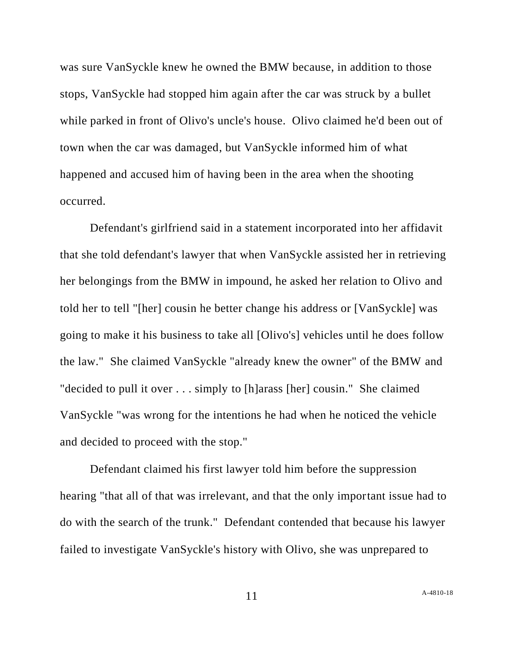was sure VanSyckle knew he owned the BMW because, in addition to those stops, VanSyckle had stopped him again after the car was struck by a bullet while parked in front of Olivo's uncle's house. Olivo claimed he'd been out of town when the car was damaged, but VanSyckle informed him of what happened and accused him of having been in the area when the shooting occurred.

Defendant's girlfriend said in a statement incorporated into her affidavit that she told defendant's lawyer that when VanSyckle assisted her in retrieving her belongings from the BMW in impound, he asked her relation to Olivo and told her to tell "[her] cousin he better change his address or [VanSyckle] was going to make it his business to take all [Olivo's] vehicles until he does follow the law." She claimed VanSyckle "already knew the owner" of the BMW and "decided to pull it over . . . simply to [h]arass [her] cousin." She claimed VanSyckle "was wrong for the intentions he had when he noticed the vehicle and decided to proceed with the stop."

Defendant claimed his first lawyer told him before the suppression hearing "that all of that was irrelevant, and that the only important issue had to do with the search of the trunk." Defendant contended that because his lawyer failed to investigate VanSyckle's history with Olivo, she was unprepared to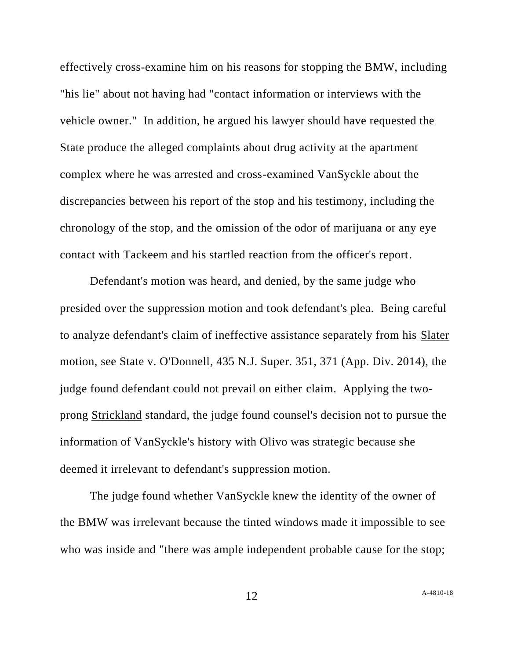effectively cross-examine him on his reasons for stopping the BMW, including "his lie" about not having had "contact information or interviews with the vehicle owner." In addition, he argued his lawyer should have requested the State produce the alleged complaints about drug activity at the apartment complex where he was arrested and cross-examined VanSyckle about the discrepancies between his report of the stop and his testimony, including the chronology of the stop, and the omission of the odor of marijuana or any eye contact with Tackeem and his startled reaction from the officer's report.

Defendant's motion was heard, and denied, by the same judge who presided over the suppression motion and took defendant's plea. Being careful to analyze defendant's claim of ineffective assistance separately from his Slater motion, see State v. O'Donnell, 435 N.J. Super. 351, 371 (App. Div. 2014), the judge found defendant could not prevail on either claim. Applying the twoprong Strickland standard, the judge found counsel's decision not to pursue the information of VanSyckle's history with Olivo was strategic because she deemed it irrelevant to defendant's suppression motion.

The judge found whether VanSyckle knew the identity of the owner of the BMW was irrelevant because the tinted windows made it impossible to see who was inside and "there was ample independent probable cause for the stop;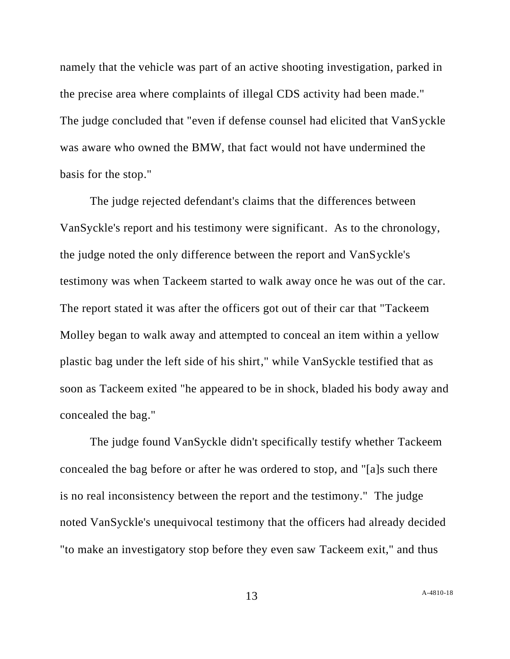namely that the vehicle was part of an active shooting investigation, parked in the precise area where complaints of illegal CDS activity had been made." The judge concluded that "even if defense counsel had elicited that VanSyckle was aware who owned the BMW, that fact would not have undermined the basis for the stop."

The judge rejected defendant's claims that the differences between VanSyckle's report and his testimony were significant. As to the chronology, the judge noted the only difference between the report and VanSyckle's testimony was when Tackeem started to walk away once he was out of the car. The report stated it was after the officers got out of their car that "Tackeem Molley began to walk away and attempted to conceal an item within a yellow plastic bag under the left side of his shirt," while VanSyckle testified that as soon as Tackeem exited "he appeared to be in shock, bladed his body away and concealed the bag."

The judge found VanSyckle didn't specifically testify whether Tackeem concealed the bag before or after he was ordered to stop, and "[a]s such there is no real inconsistency between the report and the testimony." The judge noted VanSyckle's unequivocal testimony that the officers had already decided "to make an investigatory stop before they even saw Tackeem exit," and thus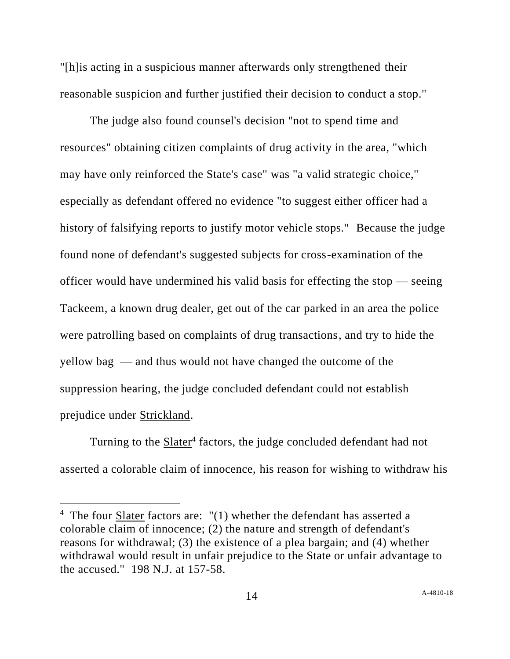"[h]is acting in a suspicious manner afterwards only strengthened their reasonable suspicion and further justified their decision to conduct a stop."

The judge also found counsel's decision "not to spend time and resources" obtaining citizen complaints of drug activity in the area, "which may have only reinforced the State's case" was "a valid strategic choice," especially as defendant offered no evidence "to suggest either officer had a history of falsifying reports to justify motor vehicle stops." Because the judge found none of defendant's suggested subjects for cross-examination of the officer would have undermined his valid basis for effecting the stop — seeing Tackeem, a known drug dealer, get out of the car parked in an area the police were patrolling based on complaints of drug transactions, and try to hide the yellow bag — and thus would not have changed the outcome of the suppression hearing, the judge concluded defendant could not establish prejudice under Strickland.

Turning to the **Slater**<sup>4</sup> factors, the judge concluded defendant had not asserted a colorable claim of innocence, his reason for wishing to withdraw his

<sup>&</sup>lt;sup>4</sup> The four  $\frac{Slater}{cl}$  factors are:  $"(1)$  whether the defendant has asserted a colorable claim of innocence; (2) the nature and strength of defendant's reasons for withdrawal; (3) the existence of a plea bargain; and (4) whether withdrawal would result in unfair prejudice to the State or unfair advantage to the accused." 198 N.J. at 157-58.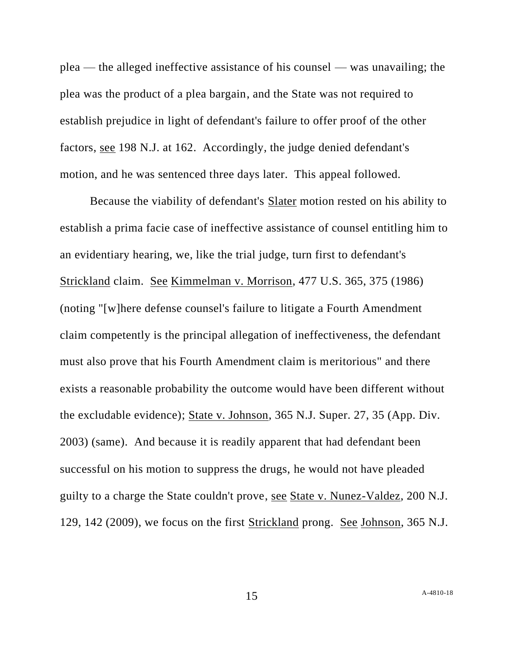plea — the alleged ineffective assistance of his counsel — was unavailing; the plea was the product of a plea bargain, and the State was not required to establish prejudice in light of defendant's failure to offer proof of the other factors, see 198 N.J. at 162. Accordingly, the judge denied defendant's motion, and he was sentenced three days later. This appeal followed.

Because the viability of defendant's Slater motion rested on his ability to establish a prima facie case of ineffective assistance of counsel entitling him to an evidentiary hearing, we, like the trial judge, turn first to defendant's Strickland claim. See Kimmelman v. Morrison, 477 U.S. 365, 375 (1986) (noting "[w]here defense counsel's failure to litigate a Fourth Amendment claim competently is the principal allegation of ineffectiveness, the defendant must also prove that his Fourth Amendment claim is meritorious" and there exists a reasonable probability the outcome would have been different without the excludable evidence); State v. Johnson, 365 N.J. Super. 27, 35 (App. Div. 2003) (same). And because it is readily apparent that had defendant been successful on his motion to suppress the drugs, he would not have pleaded guilty to a charge the State couldn't prove, see State v. Nunez-Valdez, 200 N.J. 129, 142 (2009), we focus on the first Strickland prong. See Johnson, 365 N.J.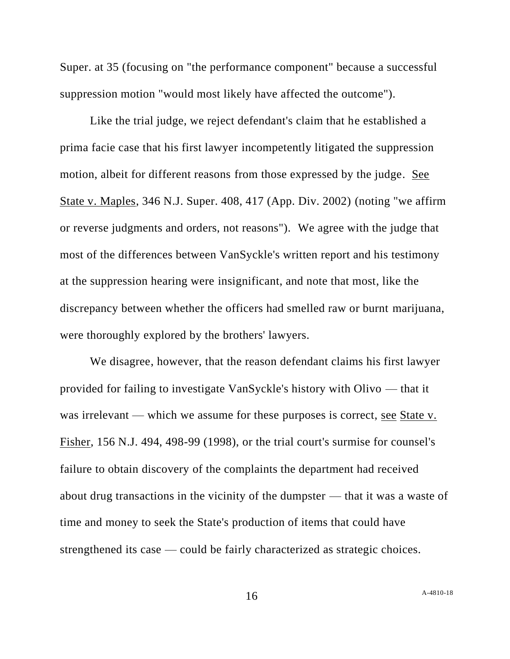Super. at 35 (focusing on "the performance component" because a successful suppression motion "would most likely have affected the outcome").

Like the trial judge, we reject defendant's claim that he established a prima facie case that his first lawyer incompetently litigated the suppression motion, albeit for different reasons from those expressed by the judge. See State v. Maples, 346 N.J. Super. 408, 417 (App. Div. 2002) (noting "we affirm or reverse judgments and orders, not reasons"). We agree with the judge that most of the differences between VanSyckle's written report and his testimony at the suppression hearing were insignificant, and note that most, like the discrepancy between whether the officers had smelled raw or burnt marijuana, were thoroughly explored by the brothers' lawyers.

We disagree, however, that the reason defendant claims his first lawyer provided for failing to investigate VanSyckle's history with Olivo — that it was irrelevant — which we assume for these purposes is correct, <u>see State v.</u> Fisher, 156 N.J. 494, 498-99 (1998), or the trial court's surmise for counsel's failure to obtain discovery of the complaints the department had received about drug transactions in the vicinity of the dumpster — that it was a waste of time and money to seek the State's production of items that could have strengthened its case — could be fairly characterized as strategic choices.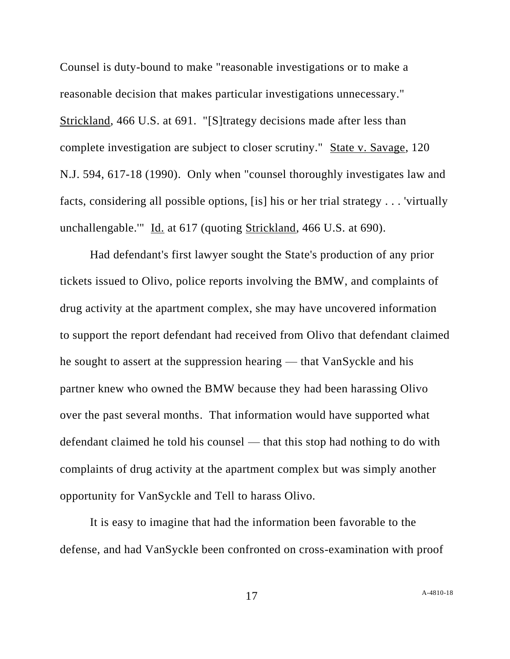Counsel is duty-bound to make "reasonable investigations or to make a reasonable decision that makes particular investigations unnecessary." Strickland, 466 U.S. at 691. "[S]trategy decisions made after less than complete investigation are subject to closer scrutiny." State v. Savage, 120 N.J. 594, 617-18 (1990). Only when "counsel thoroughly investigates law and facts, considering all possible options, [is] his or her trial strategy . . . 'virtually unchallengable.'" Id. at 617 (quoting Strickland, 466 U.S. at 690).

Had defendant's first lawyer sought the State's production of any prior tickets issued to Olivo, police reports involving the BMW, and complaints of drug activity at the apartment complex, she may have uncovered information to support the report defendant had received from Olivo that defendant claimed he sought to assert at the suppression hearing — that VanSyckle and his partner knew who owned the BMW because they had been harassing Olivo over the past several months. That information would have supported what defendant claimed he told his counsel — that this stop had nothing to do with complaints of drug activity at the apartment complex but was simply another opportunity for VanSyckle and Tell to harass Olivo.

It is easy to imagine that had the information been favorable to the defense, and had VanSyckle been confronted on cross-examination with proof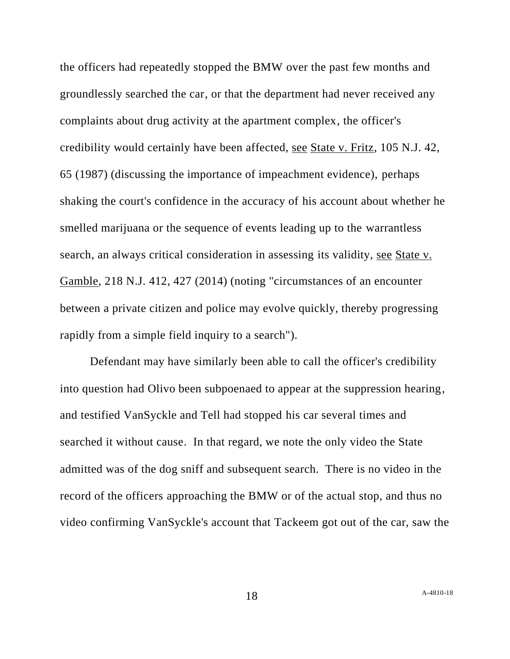the officers had repeatedly stopped the BMW over the past few months and groundlessly searched the car, or that the department had never received any complaints about drug activity at the apartment complex, the officer's credibility would certainly have been affected, see State v. Fritz, 105 N.J. 42, 65 (1987) (discussing the importance of impeachment evidence), perhaps shaking the court's confidence in the accuracy of his account about whether he smelled marijuana or the sequence of events leading up to the warrantless search, an always critical consideration in assessing its validity, see State v. Gamble, 218 N.J. 412, 427 (2014) (noting "circumstances of an encounter between a private citizen and police may evolve quickly, thereby progressing rapidly from a simple field inquiry to a search").

Defendant may have similarly been able to call the officer's credibility into question had Olivo been subpoenaed to appear at the suppression hearing, and testified VanSyckle and Tell had stopped his car several times and searched it without cause. In that regard, we note the only video the State admitted was of the dog sniff and subsequent search. There is no video in the record of the officers approaching the BMW or of the actual stop, and thus no video confirming VanSyckle's account that Tackeem got out of the car, saw the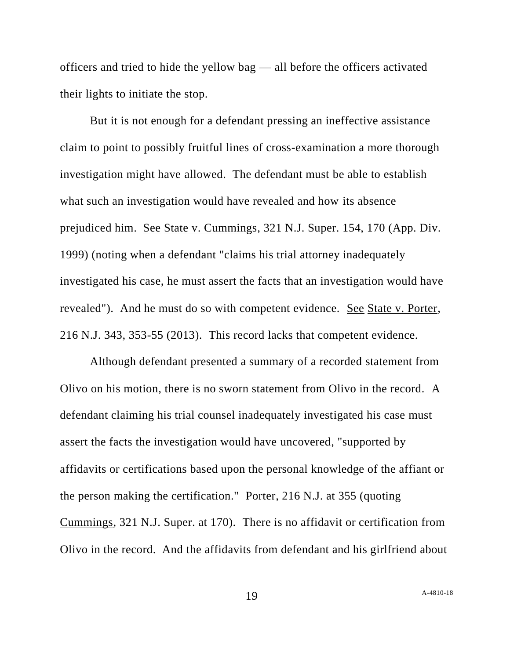officers and tried to hide the yellow bag — all before the officers activated their lights to initiate the stop.

But it is not enough for a defendant pressing an ineffective assistance claim to point to possibly fruitful lines of cross-examination a more thorough investigation might have allowed. The defendant must be able to establish what such an investigation would have revealed and how its absence prejudiced him. See State v. Cummings, 321 N.J. Super. 154, 170 (App. Div. 1999) (noting when a defendant "claims his trial attorney inadequately investigated his case, he must assert the facts that an investigation would have revealed"). And he must do so with competent evidence. See State v. Porter, 216 N.J. 343, 353-55 (2013). This record lacks that competent evidence.

Although defendant presented a summary of a recorded statement from Olivo on his motion, there is no sworn statement from Olivo in the record. A defendant claiming his trial counsel inadequately investigated his case must assert the facts the investigation would have uncovered, "supported by affidavits or certifications based upon the personal knowledge of the affiant or the person making the certification." Porter, 216 N.J. at 355 (quoting Cummings, 321 N.J. Super. at 170). There is no affidavit or certification from Olivo in the record. And the affidavits from defendant and his girlfriend about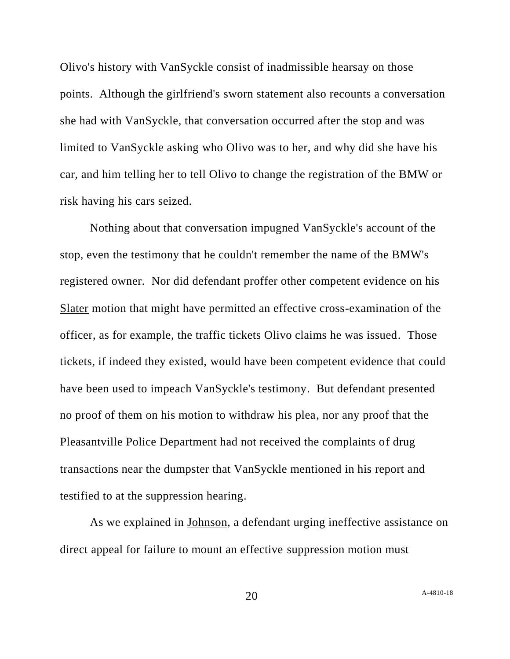Olivo's history with VanSyckle consist of inadmissible hearsay on those points. Although the girlfriend's sworn statement also recounts a conversation she had with VanSyckle, that conversation occurred after the stop and was limited to VanSyckle asking who Olivo was to her, and why did she have his car, and him telling her to tell Olivo to change the registration of the BMW or risk having his cars seized.

Nothing about that conversation impugned VanSyckle's account of the stop, even the testimony that he couldn't remember the name of the BMW's registered owner. Nor did defendant proffer other competent evidence on his Slater motion that might have permitted an effective cross-examination of the officer, as for example, the traffic tickets Olivo claims he was issued. Those tickets, if indeed they existed, would have been competent evidence that could have been used to impeach VanSyckle's testimony. But defendant presented no proof of them on his motion to withdraw his plea, nor any proof that the Pleasantville Police Department had not received the complaints of drug transactions near the dumpster that VanSyckle mentioned in his report and testified to at the suppression hearing.

As we explained in Johnson, a defendant urging ineffective assistance on direct appeal for failure to mount an effective suppression motion must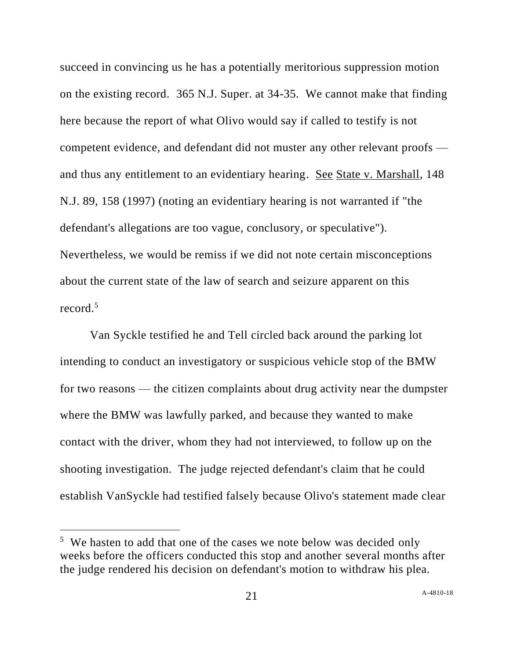succeed in convincing us he has a potentially meritorious suppression motion on the existing record. 365 N.J. Super. at 34-35. We cannot make that finding here because the report of what Olivo would say if called to testify is not competent evidence, and defendant did not muster any other relevant proofs and thus any entitlement to an evidentiary hearing. See State v. Marshall, 148 N.J. 89, 158 (1997) (noting an evidentiary hearing is not warranted if "the defendant's allegations are too vague, conclusory, or speculative"). Nevertheless, we would be remiss if we did not note certain misconceptions about the current state of the law of search and seizure apparent on this record  $^5$ 

Van Syckle testified he and Tell circled back around the parking lot intending to conduct an investigatory or suspicious vehicle stop of the BMW for two reasons — the citizen complaints about drug activity near the dumpster where the BMW was lawfully parked, and because they wanted to make contact with the driver, whom they had not interviewed, to follow up on the shooting investigation. The judge rejected defendant's claim that he could establish VanSyckle had testified falsely because Olivo's statement made clear

<sup>&</sup>lt;sup>5</sup> We hasten to add that one of the cases we note below was decided only weeks before the officers conducted this stop and another several months after the judge rendered his decision on defendant's motion to withdraw his plea.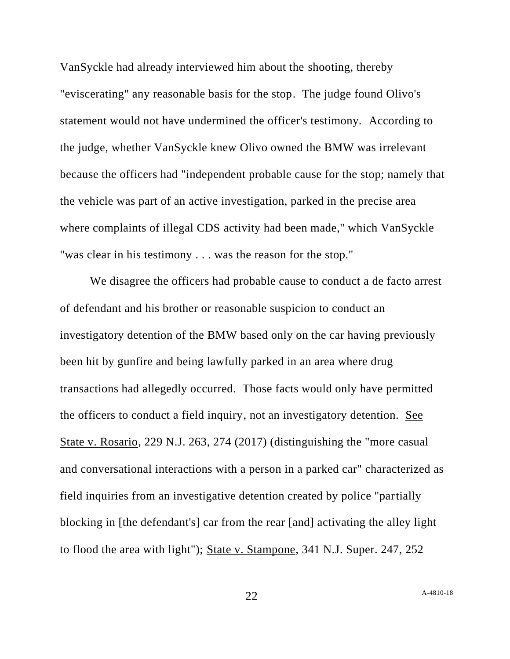VanSyckle had already interviewed him about the shooting, thereby "eviscerating" any reasonable basis for the stop. The judge found Olivo's statement would not have undermined the officer's testimony. According to the judge, whether VanSyckle knew Olivo owned the BMW was irrelevant because the officers had "independent probable cause for the stop; namely that the vehicle was part of an active investigation, parked in the precise area where complaints of illegal CDS activity had been made," which VanSyckle "was clear in his testimony . . . was the reason for the stop."

We disagree the officers had probable cause to conduct a de facto arrest of defendant and his brother or reasonable suspicion to conduct an investigatory detention of the BMW based only on the car having previously been hit by gunfire and being lawfully parked in an area where drug transactions had allegedly occurred. Those facts would only have permitted the officers to conduct a field inquiry, not an investigatory detention. See State v. Rosario, 229 N.J. 263, 274 (2017) (distinguishing the "more casual and conversational interactions with a person in a parked car" characterized as field inquiries from an investigative detention created by police "partially blocking in [the defendant's] car from the rear [and] activating the alley light to flood the area with light"); State v. Stampone, 341 N.J. Super. 247, 252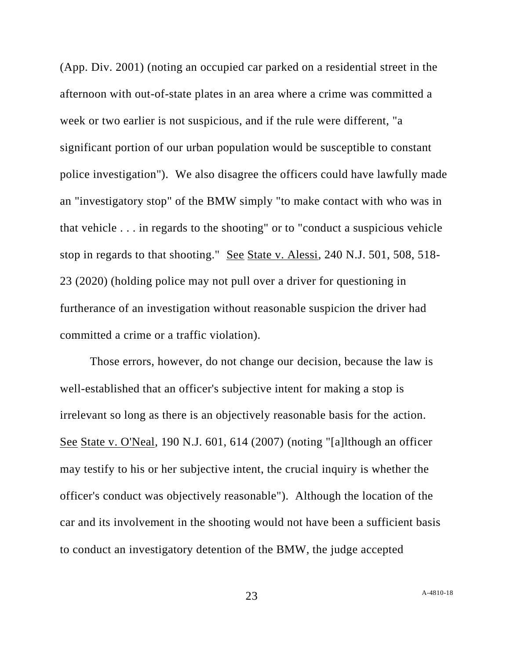(App. Div. 2001) (noting an occupied car parked on a residential street in the afternoon with out-of-state plates in an area where a crime was committed a week or two earlier is not suspicious, and if the rule were different, "a significant portion of our urban population would be susceptible to constant police investigation"). We also disagree the officers could have lawfully made an "investigatory stop" of the BMW simply "to make contact with who was in that vehicle . . . in regards to the shooting" or to "conduct a suspicious vehicle stop in regards to that shooting." See State v. Alessi, 240 N.J. 501, 508, 518-23 (2020) (holding police may not pull over a driver for questioning in furtherance of an investigation without reasonable suspicion the driver had committed a crime or a traffic violation).

Those errors, however, do not change our decision, because the law is well-established that an officer's subjective intent for making a stop is irrelevant so long as there is an objectively reasonable basis for the action. See State v. O'Neal, 190 N.J. 601, 614 (2007) (noting "[a]lthough an officer may testify to his or her subjective intent, the crucial inquiry is whether the officer's conduct was objectively reasonable"). Although the location of the car and its involvement in the shooting would not have been a sufficient basis to conduct an investigatory detention of the BMW, the judge accepted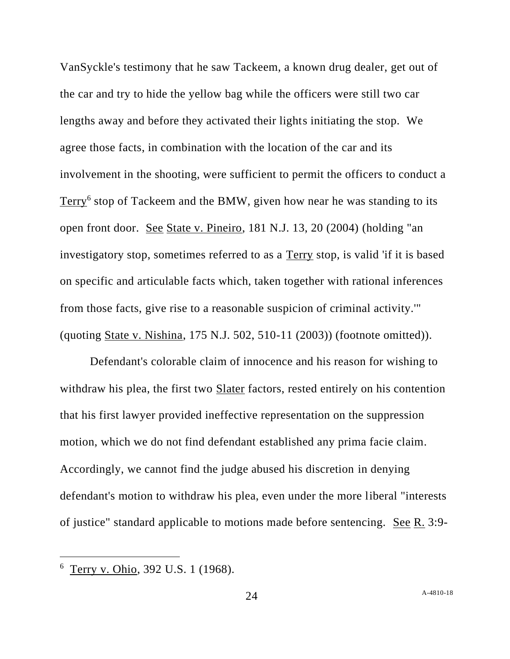VanSyckle's testimony that he saw Tackeem, a known drug dealer, get out of the car and try to hide the yellow bag while the officers were still two car lengths away and before they activated their lights initiating the stop. We agree those facts, in combination with the location of the car and its involvement in the shooting, were sufficient to permit the officers to conduct a Terry<sup>6</sup> stop of Tackeem and the BMW, given how near he was standing to its open front door. See State v. Pineiro, 181 N.J. 13, 20 (2004) (holding "an investigatory stop, sometimes referred to as a Terry stop, is valid 'if it is based on specific and articulable facts which, taken together with rational inferences from those facts, give rise to a reasonable suspicion of criminal activity.'" (quoting State v. Nishina, 175 N.J. 502, 510-11 (2003)) (footnote omitted)).

Defendant's colorable claim of innocence and his reason for wishing to withdraw his plea, the first two Slater factors, rested entirely on his contention that his first lawyer provided ineffective representation on the suppression motion, which we do not find defendant established any prima facie claim. Accordingly, we cannot find the judge abused his discretion in denying defendant's motion to withdraw his plea, even under the more liberal "interests of justice" standard applicable to motions made before sentencing. See R. 3:9-

<sup>&</sup>lt;sup>6</sup> Terry v. Ohio, 392 U.S. 1 (1968).